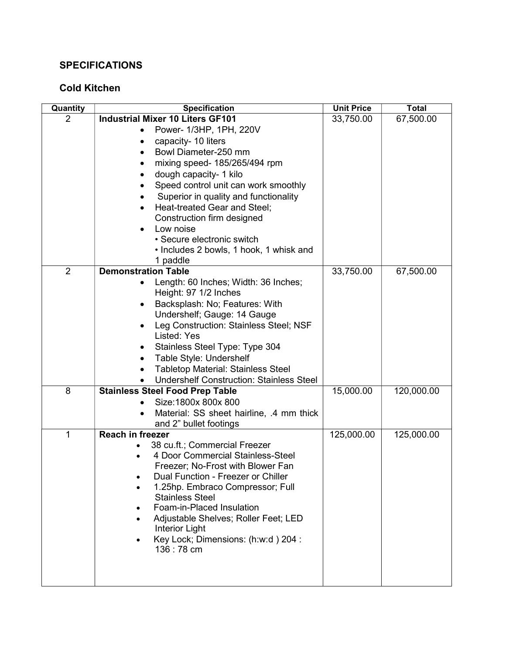## **SPECIFICATIONS**

## Cold Kitchen

| Quantity       | <b>Specification</b>                                                                         | <b>Unit Price</b> | <b>Total</b> |
|----------------|----------------------------------------------------------------------------------------------|-------------------|--------------|
| 2              | <b>Industrial Mixer 10 Liters GF101</b>                                                      | 33,750.00         | 67,500.00    |
|                | Power- 1/3HP, 1PH, 220V<br>$\bullet$                                                         |                   |              |
|                | capacity- 10 liters                                                                          |                   |              |
|                | Bowl Diameter-250 mm                                                                         |                   |              |
|                | mixing speed- 185/265/494 rpm                                                                |                   |              |
|                | dough capacity- 1 kilo                                                                       |                   |              |
|                | Speed control unit can work smoothly                                                         |                   |              |
|                | Superior in quality and functionality                                                        |                   |              |
|                | Heat-treated Gear and Steel;                                                                 |                   |              |
|                | Construction firm designed                                                                   |                   |              |
|                | Low noise<br>• Secure electronic switch                                                      |                   |              |
|                | • Includes 2 bowls, 1 hook, 1 whisk and                                                      |                   |              |
|                | 1 paddle                                                                                     |                   |              |
| $\overline{2}$ | <b>Demonstration Table</b>                                                                   | 33,750.00         | 67,500.00    |
|                | Length: 60 Inches; Width: 36 Inches;<br>٠                                                    |                   |              |
|                | Height: 97 1/2 Inches                                                                        |                   |              |
|                | Backsplash: No; Features: With                                                               |                   |              |
|                | Undershelf; Gauge: 14 Gauge                                                                  |                   |              |
|                | Leg Construction: Stainless Steel; NSF                                                       |                   |              |
|                | Listed: Yes                                                                                  |                   |              |
|                | Stainless Steel Type: Type 304                                                               |                   |              |
|                | Table Style: Undershelf<br>$\bullet$                                                         |                   |              |
|                | <b>Tabletop Material: Stainless Steel</b><br><b>Undershelf Construction: Stainless Steel</b> |                   |              |
| 8              | <b>Stainless Steel Food Prep Table</b>                                                       | 15,000.00         | 120,000.00   |
|                | Size: 1800x 800x 800                                                                         |                   |              |
|                | Material: SS sheet hairline, .4 mm thick                                                     |                   |              |
|                | and 2" bullet footings                                                                       |                   |              |
| $\mathbf{1}$   | <b>Reach in freezer</b>                                                                      | 125,000.00        | 125,000.00   |
|                | 38 cu.ft.; Commercial Freezer                                                                |                   |              |
|                | 4 Door Commercial Stainless-Steel                                                            |                   |              |
|                | Freezer; No-Frost with Blower Fan                                                            |                   |              |
|                | Dual Function - Freezer or Chiller                                                           |                   |              |
|                | 1.25hp. Embraco Compressor; Full<br><b>Stainless Steel</b>                                   |                   |              |
|                | Foam-in-Placed Insulation                                                                    |                   |              |
|                | Adjustable Shelves; Roller Feet; LED                                                         |                   |              |
|                | <b>Interior Light</b>                                                                        |                   |              |
|                | Key Lock; Dimensions: (h:w:d) 204 :                                                          |                   |              |
|                | 136 : 78 cm                                                                                  |                   |              |
|                |                                                                                              |                   |              |
|                |                                                                                              |                   |              |
|                |                                                                                              |                   |              |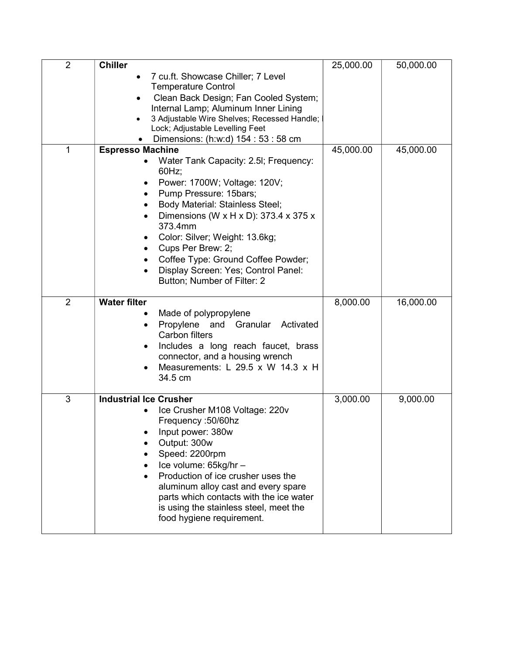| $\overline{2}$ | <b>Chiller</b>                                                                                                                                                                                                                                                                                                                                                                                            | 25,000.00 | 50,000.00 |
|----------------|-----------------------------------------------------------------------------------------------------------------------------------------------------------------------------------------------------------------------------------------------------------------------------------------------------------------------------------------------------------------------------------------------------------|-----------|-----------|
|                | 7 cu.ft. Showcase Chiller; 7 Level<br><b>Temperature Control</b><br>Clean Back Design; Fan Cooled System;<br>Internal Lamp; Aluminum Inner Lining<br>3 Adjustable Wire Shelves; Recessed Handle;<br>$\bullet$<br>Lock; Adjustable Levelling Feet<br>Dimensions: (h:w:d) 154 : 53 : 58 cm                                                                                                                  |           |           |
| 1              | <b>Espresso Machine</b><br>Water Tank Capacity: 2.5I; Frequency:<br>60Hz;<br>Power: 1700W; Voltage: 120V;<br>Pump Pressure: 15bars;<br><b>Body Material: Stainless Steel;</b><br>Dimensions (W x H x D): 373.4 x 375 x<br>373.4mm<br>Color: Silver; Weight: 13.6kg;<br>٠<br>Cups Per Brew: 2;<br>Coffee Type: Ground Coffee Powder;<br>Display Screen: Yes; Control Panel:<br>Button; Number of Filter: 2 | 45,000.00 | 45,000.00 |
| $\overline{2}$ | <b>Water filter</b><br>Made of polypropylene<br>Propylene and Granular<br>Activated<br>$\bullet$<br>Carbon filters<br>Includes a long reach faucet, brass<br>connector, and a housing wrench<br>Measurements: L 29.5 x W 14.3 x H<br>34.5 cm                                                                                                                                                              | 8,000.00  | 16,000.00 |
| 3              | <b>Industrial Ice Crusher</b><br>Ice Crusher M108 Voltage: 220v<br>Frequency: 50/60hz<br>Input power: 380w<br>Output: 300w<br>Speed: 2200rpm<br>Ice volume: 65kg/hr -<br>Production of ice crusher uses the<br>aluminum alloy cast and every spare<br>parts which contacts with the ice water<br>is using the stainless steel, meet the<br>food hygiene requirement.                                      | 3,000.00  | 9,000.00  |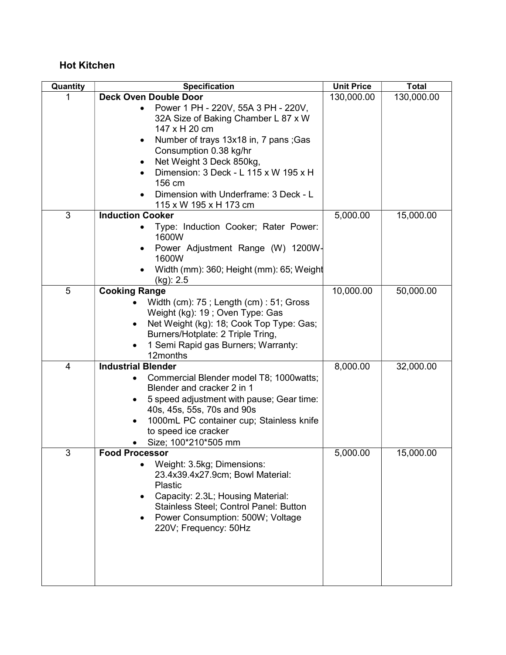## Hot Kitchen

| Quantity       | Specification                                                                                                                                                                                                                                  | <b>Unit Price</b> | <b>Total</b> |
|----------------|------------------------------------------------------------------------------------------------------------------------------------------------------------------------------------------------------------------------------------------------|-------------------|--------------|
|                | <b>Deck Oven Double Door</b>                                                                                                                                                                                                                   | 130,000.00        | 130,000.00   |
|                | Power 1 PH - 220V, 55A 3 PH - 220V,<br>32A Size of Baking Chamber L 87 x W<br>147 x H 20 cm                                                                                                                                                    |                   |              |
|                | Number of trays 13x18 in, 7 pans; Gas<br>٠<br>Consumption 0.38 kg/hr<br>Net Weight 3 Deck 850kg,                                                                                                                                               |                   |              |
|                | Dimension: 3 Deck - L 115 x W 195 x H<br>156 cm                                                                                                                                                                                                |                   |              |
|                | Dimension with Underframe: 3 Deck - L<br>115 x W 195 x H 173 cm                                                                                                                                                                                |                   |              |
| 3              | <b>Induction Cooker</b>                                                                                                                                                                                                                        | 5,000.00          | 15,000.00    |
|                | Type: Induction Cooker; Rater Power:<br>1600W                                                                                                                                                                                                  |                   |              |
|                | Power Adjustment Range (W) 1200W-<br>٠<br>1600W<br>Width (mm): 360; Height (mm): 65; Weight                                                                                                                                                    |                   |              |
|                | $(kg)$ : 2.5                                                                                                                                                                                                                                   |                   |              |
| 5              | <b>Cooking Range</b>                                                                                                                                                                                                                           | 10,000.00         | 50,000.00    |
|                | Width (cm): 75; Length (cm): 51; Gross<br>Weight (kg): 19; Oven Type: Gas<br>Net Weight (kg): 18; Cook Top Type: Gas;<br>Burners/Hotplate: 2 Triple Tring,<br>1 Semi Rapid gas Burners; Warranty:<br>12months                                  |                   |              |
| $\overline{4}$ | <b>Industrial Blender</b>                                                                                                                                                                                                                      | 8,000.00          | 32,000.00    |
|                | Commercial Blender model T8; 1000watts;<br>Blender and cracker 2 in 1<br>5 speed adjustment with pause; Gear time:<br>40s, 45s, 55s, 70s and 90s<br>1000mL PC container cup; Stainless knife<br>to speed ice cracker<br>Size; 100*210*505 mm   |                   |              |
| 3              | <b>Food Processor</b><br>Weight: 3.5kg; Dimensions:<br>23.4x39.4x27.9cm; Bowl Material:<br>Plastic<br>Capacity: 2.3L; Housing Material:<br>Stainless Steel; Control Panel: Button<br>Power Consumption: 500W; Voltage<br>220V; Frequency: 50Hz | 5,000.00          | 15,000.00    |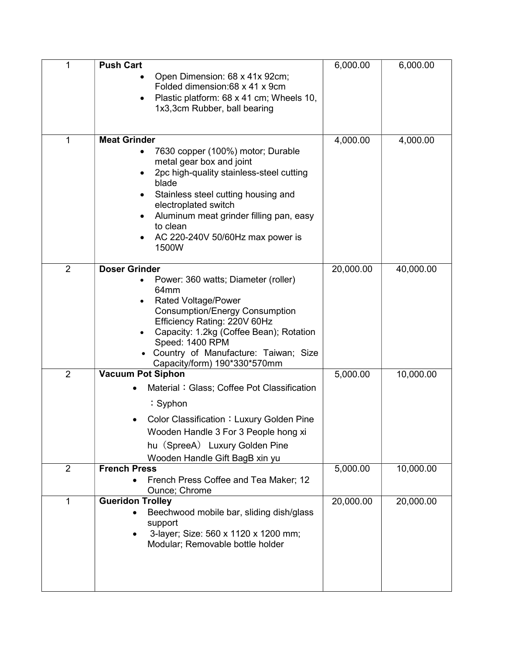| 1              | <b>Push Cart</b>                                                                                                                                                                                                                                                                                                               | 6,000.00  | 6,000.00  |
|----------------|--------------------------------------------------------------------------------------------------------------------------------------------------------------------------------------------------------------------------------------------------------------------------------------------------------------------------------|-----------|-----------|
|                | Open Dimension: 68 x 41x 92cm;<br>Folded dimension:68 x 41 x 9cm<br>Plastic platform: 68 x 41 cm; Wheels 10,<br>$\bullet$<br>1x3,3cm Rubber, ball bearing                                                                                                                                                                      |           |           |
| 1              | <b>Meat Grinder</b><br>7630 copper (100%) motor; Durable<br>metal gear box and joint<br>2pc high-quality stainless-steel cutting<br>$\bullet$<br>blade<br>Stainless steel cutting housing and<br>electroplated switch<br>Aluminum meat grinder filling pan, easy<br>٠<br>to clean<br>AC 220-240V 50/60Hz max power is<br>1500W | 4,000.00  | 4,000.00  |
| $\overline{2}$ | <b>Doser Grinder</b><br>Power: 360 watts; Diameter (roller)<br>64 <sub>mm</sub><br><b>Rated Voltage/Power</b><br><b>Consumption/Energy Consumption</b><br>Efficiency Rating: 220V 60Hz<br>Capacity: 1.2kg (Coffee Bean); Rotation<br>Speed: 1400 RPM<br>Country of Manufacture: Taiwan; Size<br>Capacity/form) 190*330*570mm   | 20,000.00 | 40,000.00 |
| $\overline{2}$ | <b>Vacuum Pot Siphon</b><br>Material: Glass; Coffee Pot Classification<br>: Syphon<br>Color Classification: Luxury Golden Pine<br>Wooden Handle 3 For 3 People hong xi<br>hu (SpreeA) Luxury Golden Pine<br>Wooden Handle Gift BagB xin yu                                                                                     | 5,000.00  | 10,000.00 |
| 2              | <b>French Press</b><br>French Press Coffee and Tea Maker; 12<br>Ounce; Chrome                                                                                                                                                                                                                                                  | 5,000.00  | 10,000.00 |
| 1              | <b>Gueridon Trolley</b><br>Beechwood mobile bar, sliding dish/glass<br>support<br>3-layer; Size: 560 x 1120 x 1200 mm;<br>Modular; Removable bottle holder                                                                                                                                                                     | 20,000.00 | 20,000.00 |